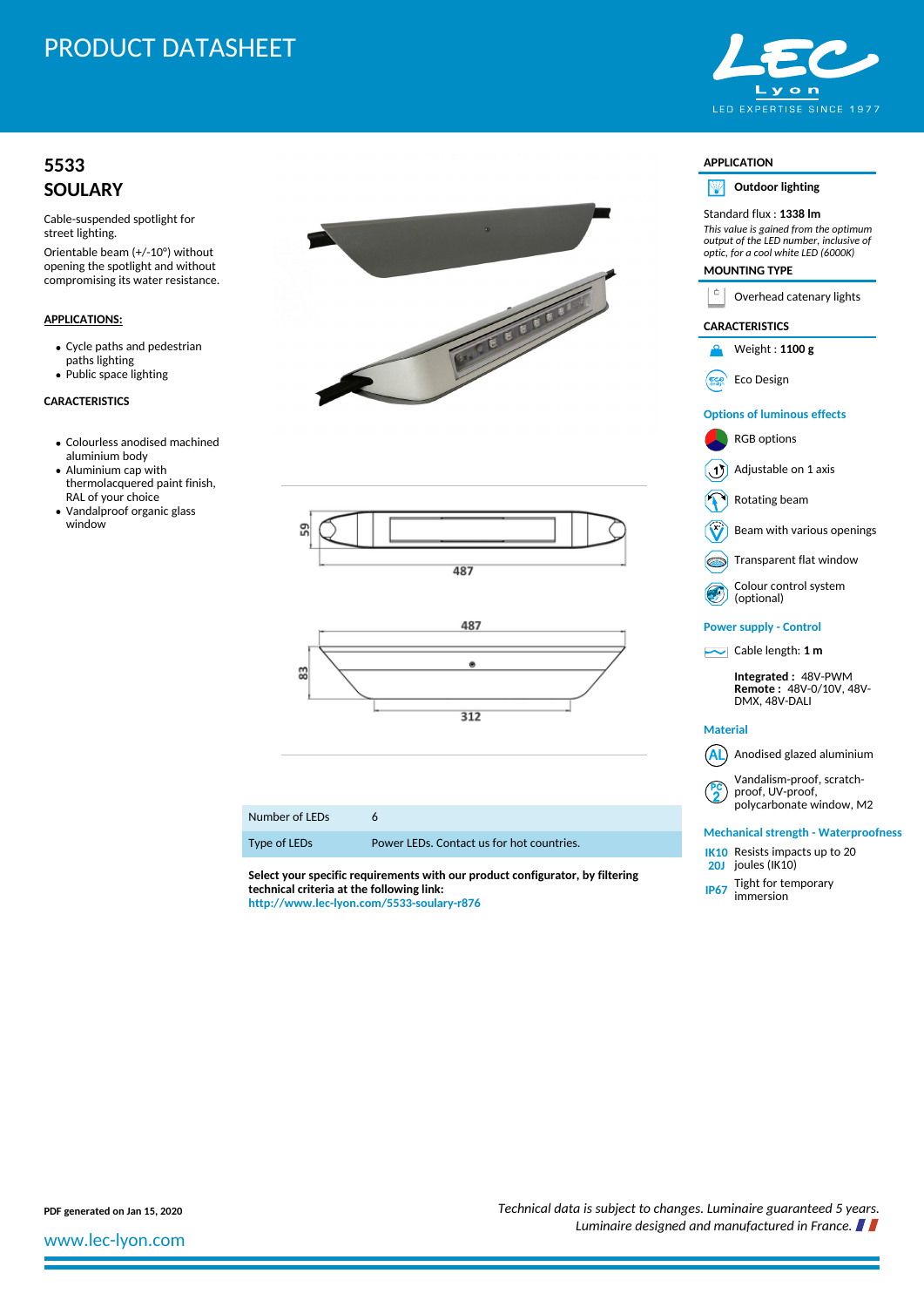# PRODUCT DATASHEET

## **[5533](http://www.lec-lyon.com/5533-soulary-r876) [SOULARY](http://www.lec-lyon.com/5533-soulary-r876)**

Cable-suspended spotlight for street lighting.

Orientable beam (+/-10°) without opening the spotlight and without compromising its water resistance.

#### **APPLICATIONS:**

- Cycle paths and pedestrian paths lighting
- Public space lighting

#### **CARACTERISTICS**

- Colourless anodised machined aluminium body
- Aluminium cap with thermolacquered paint finish,
- RAL of your choice Vandalproof organic glass window







| Number of LEDs | 6 |
|----------------|---|
|                |   |

Type of LEDs Power LEDs. Contact us for hot countries.

**Select your specific requirements with our product configurator, by filtering technical criteria at the following link: <http://www.lec-lyon.com/5533-soulary-r876>**



## **APPLICATION Outdoor lighting** NИ Standard flux : **1338 lm** *This value is gained from the optimum output of the LED number, inclusive of optic, for a cool white LED (6000K)* **MOUNTING TYPE** Overhead catenary lights **CARACTERISTICS** Weight : **1100 g** ≏ Eco Design ججج) **Options of luminous effects** RGB options Adjustable on 1 axis  $(1)$ Rotating beam Beam with various openings Transparent flat window Colour control system (optional) **Power supply - Control** Cable length: **1 m Integrated :** 48V-PWM **Remote :** 48V-0/10V, 48V-DMX, 48V-DALI **Material**  $(AL)$  Anodised glazed aluminium Vandalism-proof, scratchproof, UV-proof, polycarbonate window, M2

#### **Mechanical strength - Waterproofness**

- **IK10** Resists impacts up to 20 **20J** joules (IK10)
- **IP67** Tight for temporary immersion

[www.lec-lyon.com](http://www.lec-lyon.com/)

**PDF generated on Jan 15, 2020** *Technical data is subject to changes. Luminaire guaranteed 5 years. Luminaire designed and manufactured in France.*